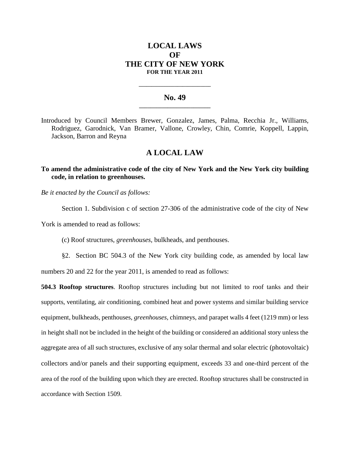## **LOCAL LAWS OF THE CITY OF NEW YORK FOR THE YEAR 2011**

## **No. 49 \_\_\_\_\_\_\_\_\_\_\_\_\_\_\_\_\_\_\_\_\_\_\_\_\_**

**\_\_\_\_\_\_\_\_\_\_\_\_\_\_\_\_\_\_\_\_\_\_\_\_\_\_\_\_**

Introduced by Council Members Brewer, Gonzalez, James, Palma, Recchia Jr., Williams, Rodriguez, Garodnick, Van Bramer, Vallone, Crowley, Chin, Comrie, Koppell, Lappin, Jackson, Barron and Reyna

## **A LOCAL LAW**

**To amend the administrative code of the city of New York and the New York city building code, in relation to greenhouses.**

*Be it enacted by the Council as follows:*

Section 1. Subdivision c of section 27-306 of the administrative code of the city of New

York is amended to read as follows:

(c) Roof structures, *greenhouses,* bulkheads, and penthouses.

§2. Section BC 504.3 of the New York city building code, as amended by local law numbers 20 and 22 for the year 2011, is amended to read as follows:

**504.3 Rooftop structures**. Rooftop structures including but not limited to roof tanks and their supports, ventilating, air conditioning, combined heat and power systems and similar building service equipment, bulkheads, penthouses, *greenhouses,* chimneys, and parapet walls 4 feet (1219 mm) or less in height shall not be included in the height of the building or considered an additional story unless the aggregate area of all such structures, exclusive of any solar thermal and solar electric (photovoltaic) collectors and/or panels and their supporting equipment, exceeds 33 and one-third percent of the area of the roof of the building upon which they are erected. Rooftop structures shall be constructed in accordance with Section 1509.